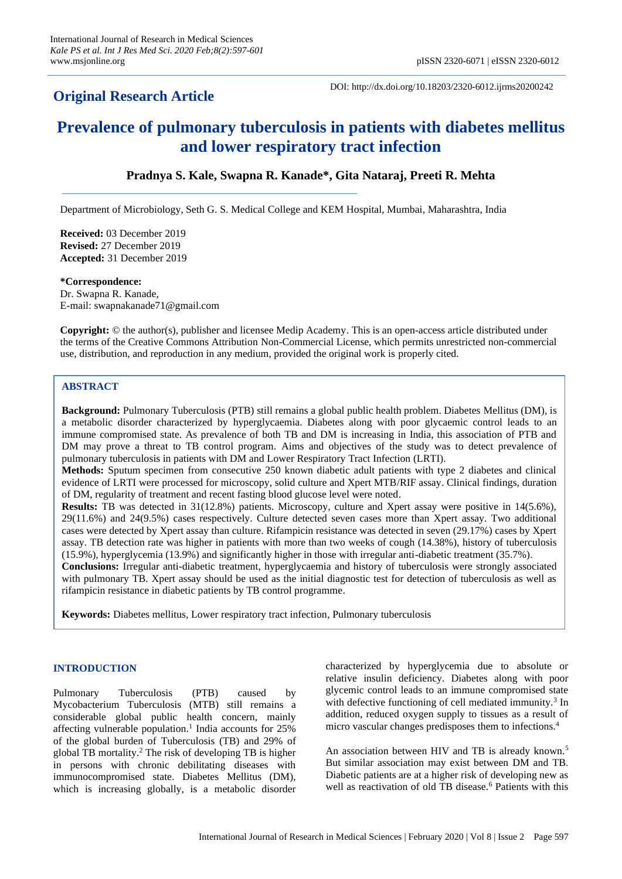## **Original Research Article**

DOI: http://dx.doi.org/10.18203/2320-6012.ijrms20200242

# **Prevalence of pulmonary tuberculosis in patients with diabetes mellitus and lower respiratory tract infection**

## **Pradnya S. Kale, Swapna R. Kanade\*, Gita Nataraj, Preeti R. Mehta**

Department of Microbiology, Seth G. S. Medical College and KEM Hospital, Mumbai, Maharashtra, India

**Received:** 03 December 2019 **Revised:** 27 December 2019 **Accepted:** 31 December 2019

#### **\*Correspondence:**

Dr. Swapna R. Kanade, E-mail: swapnakanade71@gmail.com

**Copyright:** © the author(s), publisher and licensee Medip Academy. This is an open-access article distributed under the terms of the Creative Commons Attribution Non-Commercial License, which permits unrestricted non-commercial use, distribution, and reproduction in any medium, provided the original work is properly cited.

## **ABSTRACT**

**Background:** Pulmonary Tuberculosis (PTB) still remains a global public health problem. Diabetes Mellitus (DM), is a metabolic disorder characterized by hyperglycaemia. Diabetes along with poor glycaemic control leads to an immune compromised state. As prevalence of both TB and DM is increasing in India, this association of PTB and DM may prove a threat to TB control program. Aims and objectives of the study was to detect prevalence of pulmonary tuberculosis in patients with DM and Lower Respiratory Tract Infection (LRTI).

**Methods:** Sputum specimen from consecutive 250 known diabetic adult patients with type 2 diabetes and clinical evidence of LRTI were processed for microscopy, solid culture and Xpert MTB/RIF assay. Clinical findings, duration of DM, regularity of treatment and recent fasting blood glucose level were noted.

**Results:** TB was detected in 31(12.8%) patients. Microscopy, culture and Xpert assay were positive in 14(5.6%), 29(11.6%) and 24(9.5%) cases respectively. Culture detected seven cases more than Xpert assay. Two additional cases were detected by Xpert assay than culture. Rifampicin resistance was detected in seven (29.17%) cases by Xpert assay. TB detection rate was higher in patients with more than two weeks of cough (14.38%), history of tuberculosis (15.9%), hyperglycemia (13.9%) and significantly higher in those with irregular anti-diabetic treatment (35.7%).

**Conclusions:** Irregular anti-diabetic treatment, hyperglycaemia and history of tuberculosis were strongly associated with pulmonary TB. Xpert assay should be used as the initial diagnostic test for detection of tuberculosis as well as rifampicin resistance in diabetic patients by TB control programme.

**Keywords:** Diabetes mellitus, Lower respiratory tract infection, Pulmonary tuberculosis

## **INTRODUCTION**

Pulmonary Tuberculosis (PTB) caused by Mycobacterium Tuberculosis (MTB) still remains a considerable global public health concern, mainly affecting vulnerable population.<sup>1</sup> India accounts for 25% of the global burden of Tuberculosis (TB) and 29% of global TB mortality.<sup>2</sup> The risk of developing TB is higher in persons with chronic debilitating diseases with immunocompromised state. Diabetes Mellitus (DM), which is increasing globally, is a metabolic disorder characterized by hyperglycemia due to absolute or relative insulin deficiency. Diabetes along with poor glycemic control leads to an immune compromised state with defective functioning of cell mediated immunity.<sup>3</sup> In addition, reduced oxygen supply to tissues as a result of micro vascular changes predisposes them to infections.<sup>4</sup>

An association between HIV and TB is already known.<sup>5</sup> But similar association may exist between DM and TB. Diabetic patients are at a higher risk of developing new as well as reactivation of old TB disease.<sup>6</sup> Patients with this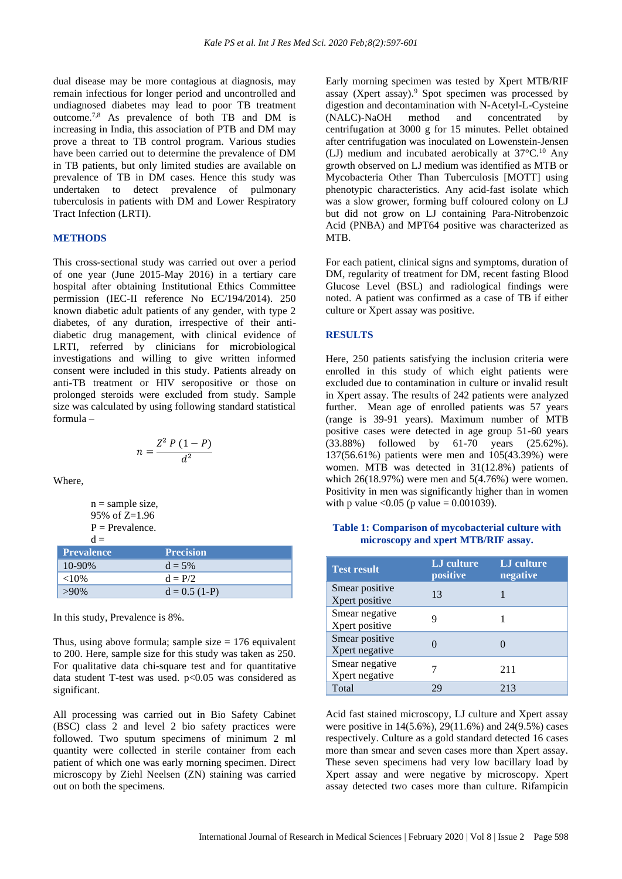dual disease may be more contagious at diagnosis, may remain infectious for longer period and uncontrolled and undiagnosed diabetes may lead to poor TB treatment outcome.7,8 As prevalence of both TB and DM is increasing in India, this association of PTB and DM may prove a threat to TB control program. Various studies have been carried out to determine the prevalence of DM in TB patients, but only limited studies are available on prevalence of TB in DM cases. Hence this study was undertaken to detect prevalence of pulmonary tuberculosis in patients with DM and Lower Respiratory Tract Infection (LRTI).

#### **METHODS**

This cross-sectional study was carried out over a period of one year (June 2015-May 2016) in a tertiary care hospital after obtaining Institutional Ethics Committee permission (IEC-II reference No EC/194/2014). 250 known diabetic adult patients of any gender, with type 2 diabetes, of any duration, irrespective of their antidiabetic drug management, with clinical evidence of LRTI, referred by clinicians for microbiological investigations and willing to give written informed consent were included in this study. Patients already on anti-TB treatment or HIV seropositive or those on prolonged steroids were excluded from study. Sample size was calculated by using following standard statistical formula –

$$
n=\frac{Z^2 P (1-P)}{d^2}
$$

Where,

n = sample size,  
95% of Z=1.96  
P = Prevalence.  

$$
d =
$$

| <b>Prevalence</b> | <b>Precision</b> |
|-------------------|------------------|
| $10 - 90\%$       | $d = 5%$         |
| ${<}10\%$         | $d = P/2$        |
| $>90\%$           | $d = 0.5(1-P)$   |

In this study, Prevalence is 8%.

Thus, using above formula; sample size  $= 176$  equivalent to 200. Here, sample size for this study was taken as 250. For qualitative data chi-square test and for quantitative data student T-test was used. p<0.05 was considered as significant.

All processing was carried out in Bio Safety Cabinet (BSC) class 2 and level 2 bio safety practices were followed. Two sputum specimens of minimum 2 ml quantity were collected in sterile container from each patient of which one was early morning specimen. Direct microscopy by Ziehl Neelsen (ZN) staining was carried out on both the specimens.

Early morning specimen was tested by Xpert MTB/RIF assay (Xpert assay). <sup>9</sup> Spot specimen was processed by digestion and decontamination with N-Acetyl-L-Cysteine (NALC)-NaOH method and concentrated by centrifugation at 3000 g for 15 minutes. Pellet obtained after centrifugation was inoculated on Lowenstein-Jensen (LJ) medium and incubated aerobically at 37°C.<sup>10</sup> Any growth observed on LJ medium was identified as MTB or Mycobacteria Other Than Tuberculosis [MOTT] using phenotypic characteristics. Any acid-fast isolate which was a slow grower, forming buff coloured colony on LJ but did not grow on LJ containing Para-Nitrobenzoic Acid (PNBA) and MPT64 positive was characterized as MTB.

For each patient, clinical signs and symptoms, duration of DM, regularity of treatment for DM, recent fasting Blood Glucose Level (BSL) and radiological findings were noted. A patient was confirmed as a case of TB if either culture or Xpert assay was positive.

#### **RESULTS**

Here, 250 patients satisfying the inclusion criteria were enrolled in this study of which eight patients were excluded due to contamination in culture or invalid result in Xpert assay. The results of 242 patients were analyzed further. Mean age of enrolled patients was 57 years (range is 39-91 years). Maximum number of MTB positive cases were detected in age group 51-60 years (33.88%) followed by 61-70 years (25.62%). 137(56.61%) patients were men and 105(43.39%) were women. MTB was detected in 31(12.8%) patients of which 26(18.97%) were men and 5(4.76%) were women. Positivity in men was significantly higher than in women with p value < $0.05$  (p value = 0.001039).

| Table 1: Comparison of mycobacterial culture with |  |
|---------------------------------------------------|--|
| microscopy and xpert MTB/RIF assay.               |  |

| <b>Test result</b>               | LJ culture<br>positive | LJ culture<br>negative |
|----------------------------------|------------------------|------------------------|
| Smear positive<br>Xpert positive | 13                     |                        |
| Smear negative<br>Xpert positive |                        |                        |
| Smear positive<br>Xpert negative |                        |                        |
| Smear negative<br>Xpert negative |                        | 211                    |
| Total                            | 79                     | 213                    |

Acid fast stained microscopy, LJ culture and Xpert assay were positive in 14(5.6%), 29(11.6%) and 24(9.5%) cases respectively. Culture as a gold standard detected 16 cases more than smear and seven cases more than Xpert assay. These seven specimens had very low bacillary load by Xpert assay and were negative by microscopy. Xpert assay detected two cases more than culture. Rifampicin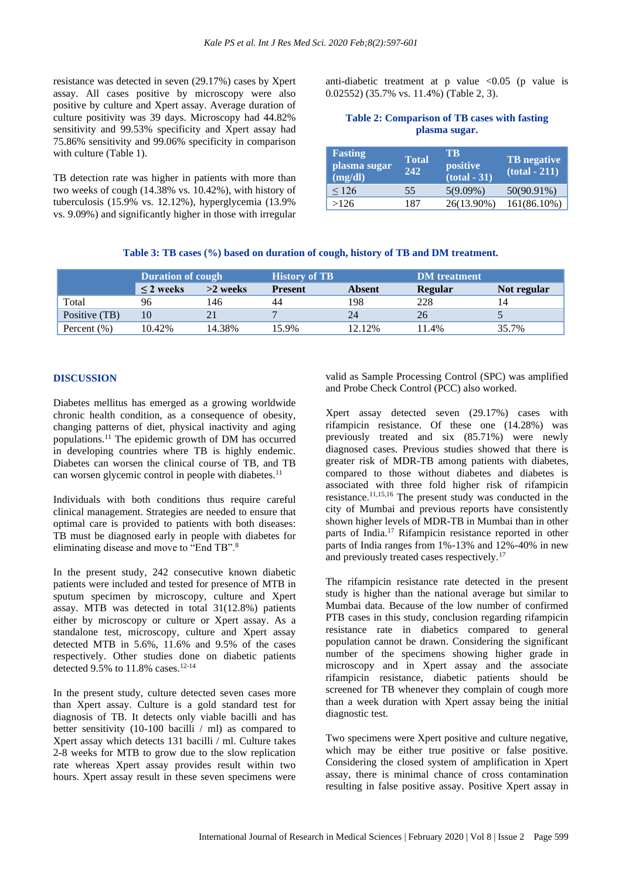resistance was detected in seven (29.17%) cases by Xpert assay. All cases positive by microscopy were also positive by culture and Xpert assay. Average duration of culture positivity was 39 days. Microscopy had 44.82% sensitivity and 99.53% specificity and Xpert assay had 75.86% sensitivity and 99.06% specificity in comparison with culture (Table 1).

TB detection rate was higher in patients with more than two weeks of cough (14.38% vs. 10.42%), with history of tuberculosis (15.9% vs. 12.12%), hyperglycemia (13.9% vs. 9.09%) and significantly higher in those with irregular

anti-diabetic treatment at p value  $\langle 0.05 \rangle$  (p value is 0.02552) (35.7% vs. 11.4%) (Table 2, 3).

## **Table 2: Comparison of TB cases with fasting plasma sugar.**

| <b>Fasting</b><br>plasma sugar<br>(mg/dl) | <b>Total</b><br>242. | TB.<br>positive<br>$(total - 31)$ | <b>TB</b> negative<br>$(total - 211)$ |  |
|-------------------------------------------|----------------------|-----------------------------------|---------------------------------------|--|
| 126                                       | 55                   | $5(9.09\%)$                       | 50(90.91%)                            |  |
| >126                                      | 187                  | 26(13.90%)                        | 161(86.10%)                           |  |

## **Table 3: TB cases (%) based on duration of cough, history of TB and DM treatment.**

|                 | <b>Duration of cough</b> |            | <b>History of TB</b> |               | <b>DM</b> treatment |             |
|-----------------|--------------------------|------------|----------------------|---------------|---------------------|-------------|
|                 | $\leq$ 2 weeks           | $>2$ weeks | <b>Present</b>       | <b>Absent</b> | Regular             | Not regular |
| Total           | 96                       | 46         | 44                   | 198           | 228                 | 14          |
| Positive (TB)   | 10                       | 21         |                      | 24            | 26                  |             |
| Percent $(\% )$ | 10.42%                   | 14.38%     | 15.9%                | 12.12%        | 11.4%               | 35.7%       |

## **DISCUSSION**

Diabetes mellitus has emerged as a growing worldwide chronic health condition, as a consequence of obesity, changing patterns of diet, physical inactivity and aging populations.<sup>11</sup> The epidemic growth of DM has occurred in developing countries where TB is highly endemic. Diabetes can worsen the clinical course of TB, and TB can worsen glycemic control in people with diabetes. $<sup>11</sup>$ </sup>

Individuals with both conditions thus require careful clinical management. Strategies are needed to ensure that optimal care is provided to patients with both diseases: TB must be diagnosed early in people with diabetes for eliminating disease and move to "End TB".<sup>8</sup>

In the present study, 242 consecutive known diabetic patients were included and tested for presence of MTB in sputum specimen by microscopy, culture and Xpert assay. MTB was detected in total 31(12.8%) patients either by microscopy or culture or Xpert assay. As a standalone test, microscopy, culture and Xpert assay detected MTB in 5.6%, 11.6% and 9.5% of the cases respectively. Other studies done on diabetic patients detected 9.5% to  $11.8\%$  cases.<sup>12-14</sup>

In the present study, culture detected seven cases more than Xpert assay. Culture is a gold standard test for diagnosis of TB. It detects only viable bacilli and has better sensitivity (10-100 bacilli / ml) as compared to Xpert assay which detects 131 bacilli / ml. Culture takes 2-8 weeks for MTB to grow due to the slow replication rate whereas Xpert assay provides result within two hours. Xpert assay result in these seven specimens were

valid as Sample Processing Control (SPC) was amplified and Probe Check Control (PCC) also worked.

Xpert assay detected seven (29.17%) cases with rifampicin resistance. Of these one (14.28%) was previously treated and six (85.71%) were newly diagnosed cases. Previous studies showed that there is greater risk of MDR-TB among patients with diabetes, compared to those without diabetes and diabetes is associated with three fold higher risk of rifampicin resistance.11,15,16 The present study was conducted in the city of Mumbai and previous reports have consistently shown higher levels of MDR-TB in Mumbai than in other parts of India.<sup>17</sup> Rifampicin resistance reported in other parts of India ranges from 1%-13% and 12%-40% in new and previously treated cases respectively.<sup>17</sup>

The rifampicin resistance rate detected in the present study is higher than the national average but similar to Mumbai data. Because of the low number of confirmed PTB cases in this study, conclusion regarding rifampicin resistance rate in diabetics compared to general population cannot be drawn. Considering the significant number of the specimens showing higher grade in microscopy and in Xpert assay and the associate rifampicin resistance, diabetic patients should be screened for TB whenever they complain of cough more than a week duration with Xpert assay being the initial diagnostic test.

Two specimens were Xpert positive and culture negative, which may be either true positive or false positive. Considering the closed system of amplification in Xpert assay, there is minimal chance of cross contamination resulting in false positive assay. Positive Xpert assay in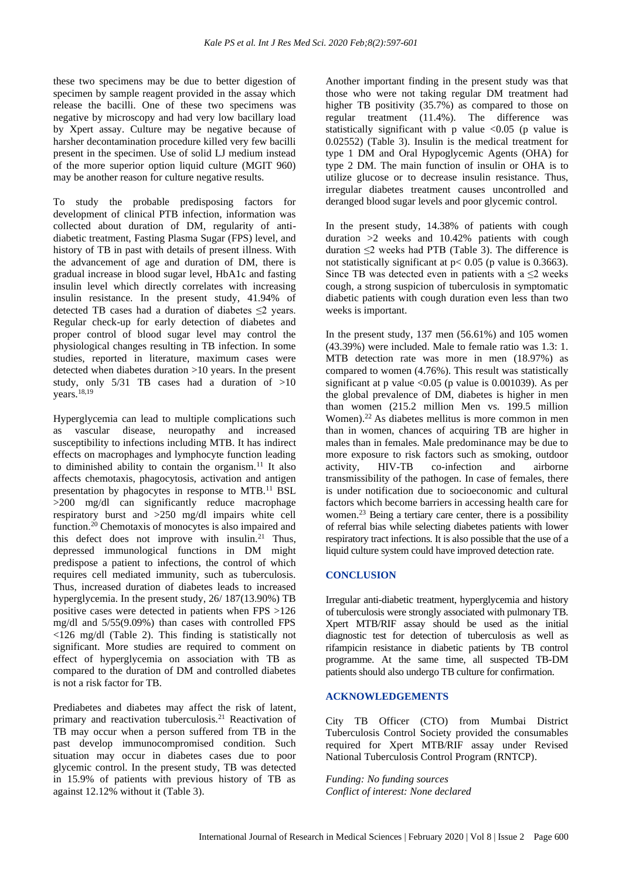these two specimens may be due to better digestion of specimen by sample reagent provided in the assay which release the bacilli. One of these two specimens was negative by microscopy and had very low bacillary load by Xpert assay. Culture may be negative because of harsher decontamination procedure killed very few bacilli present in the specimen. Use of solid LJ medium instead of the more superior option liquid culture (MGIT 960) may be another reason for culture negative results.

To study the probable predisposing factors for development of clinical PTB infection, information was collected about duration of DM, regularity of antidiabetic treatment, Fasting Plasma Sugar (FPS) level, and history of TB in past with details of present illness. With the advancement of age and duration of DM, there is gradual increase in blood sugar level, HbA1ϲ and fasting insulin level which directly correlates with increasing insulin resistance. In the present study, 41.94% of detected TB cases had a duration of diabetes  $\leq 2$  years. Regular check-up for early detection of diabetes and proper control of blood sugar level may control the physiological changes resulting in TB infection. In some studies, reported in literature, maximum cases were detected when diabetes duration >10 years. In the present study, only 5/31 TB cases had a duration of >10 years.18,19

Hyperglycemia can lead to multiple complications such as vascular disease, neuropathy and increased susceptibility to infections including MTB. It has indirect effects on macrophages and lymphocyte function leading to diminished ability to contain the organism.<sup>11</sup> It also affects chemotaxis, phagocytosis, activation and antigen presentation by phagocytes in response to MTB.<sup>11</sup> BSL >200 mg/dl can significantly reduce macrophage respiratory burst and >250 mg/dl impairs white cell function.<sup>20</sup> Chemotaxis of monocytes is also impaired and this defect does not improve with insulin.<sup>21</sup> Thus, depressed immunological functions in DM might predispose a patient to infections, the control of which requires cell mediated immunity, such as tuberculosis. Thus, increased duration of diabetes leads to increased hyperglycemia. In the present study, 26/ 187(13.90%) TB positive cases were detected in patients when FPS >126 mg/dl and 5/55(9.09%) than cases with controlled FPS <126 mg/dl (Table 2). This finding is statistically not significant. More studies are required to comment on effect of hyperglycemia on association with TB as compared to the duration of DM and controlled diabetes is not a risk factor for TB.

Prediabetes and diabetes may affect the risk of latent, primary and reactivation tuberculosis.<sup>21</sup> Reactivation of TB may occur when a person suffered from TB in the past develop immunocompromised condition. Such situation may occur in diabetes cases due to poor glycemic control. In the present study, TB was detected in 15.9% of patients with previous history of TB as against 12.12% without it (Table 3).

Another important finding in the present study was that those who were not taking regular DM treatment had higher TB positivity (35.7%) as compared to those on regular treatment (11.4%). The difference was statistically significant with  $p$  value <0.05 (p value is 0.02552) (Table 3). Insulin is the medical treatment for type 1 DM and Oral Hypoglycemic Agents (OHA) for type 2 DM. The main function of insulin or OHA is to utilize glucose or to decrease insulin resistance. Thus, irregular diabetes treatment causes uncontrolled and deranged blood sugar levels and poor glycemic control.

In the present study, 14.38% of patients with cough duration >2 weeks and 10.42% patients with cough duration  $\leq$ 2 weeks had PTB (Table 3). The difference is not statistically significant at p< 0.05 (p value is 0.3663). Since TB was detected even in patients with a  $\leq 2$  weeks cough, a strong suspicion of tuberculosis in symptomatic diabetic patients with cough duration even less than two weeks is important.

In the present study, 137 men (56.61%) and 105 women (43.39%) were included. Male to female ratio was 1.3: 1. MTB detection rate was more in men (18.97%) as compared to women (4.76%). This result was statistically significant at p value  $\langle 0.05$  (p value is 0.001039). As per the global prevalence of DM, diabetes is higher in men than women (215.2 million Men vs. 199.5 million Women).<sup>22</sup>As diabetes mellitus is more common in men than in women, chances of acquiring TB are higher in males than in females. Male predominance may be due to more exposure to risk factors such as smoking, outdoor activity, HIV-TB co-infection and airborne transmissibility of the pathogen. In case of females, there is under notification due to socioeconomic and cultural factors which become barriers in accessing health care for women.<sup>23</sup> Being a tertiary care center, there is a possibility of referral bias while selecting diabetes patients with lower respiratory tract infections. It is also possible that the use of a liquid culture system could have improved detection rate.

## **CONCLUSION**

Irregular anti-diabetic treatment, hyperglycemia and history of tuberculosis were strongly associated with pulmonary TB. Xpert MTB/RIF assay should be used as the initial diagnostic test for detection of tuberculosis as well as rifampicin resistance in diabetic patients by TB control programme. At the same time, all suspected TB-DM patients should also undergo TB culture for confirmation.

## **ACKNOWLEDGEMENTS**

City TB Officer (CTO) from Mumbai District Tuberculosis Control Society provided the consumables required for Xpert MTB/RIF assay under Revised National Tuberculosis Control Program (RNTCP).

*Funding: No funding sources Conflict of interest: None declared*